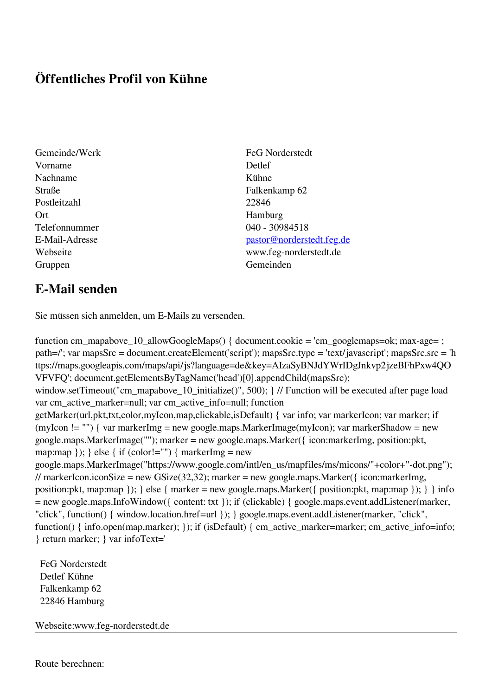## **Öffentliches Profil von Kühne**

- Vorname Detlef Nachname Kühne Straße Falkenkamp 62 Postleitzahl 22846 Ort Hamburg Telefonnummer 040 - 30984518 Gruppen Gemeinden Gemeinden Gemeinden Gemeinden Gemeinden Gemeinden Gemeinden Gemeinden Gemeinden Gemeinden G
- Gemeinde/Werk FeG Norderstedt E-Mail-Adresse [pastor@norderstedt.feg.de](mailto:pastor@norderstedt.feg.de) Webseite www.feg-norderstedt.de

## **E-Mail senden**

Sie müssen sich anmelden, um E-Mails zu versenden.

function cm\_mapabove\_10\_allowGoogleMaps() { document.cookie = 'cm\_googlemaps=ok; max-age= ; path=/'; var mapsSrc = document.createElement('script'); mapsSrc.type = 'text/javascript'; mapsSrc.src = 'h ttps://maps.googleapis.com/maps/api/js?language=de&key=AIzaSyBNJdYWrIDgJnkvp2jzeBFhPxw4QO VFVFQ'; document.getElementsByTagName('head')[0].appendChild(mapsSrc); window.setTimeout("cm\_mapabove\_10\_initialize()", 500); } // Function will be executed after page load var cm\_active\_marker=null; var cm\_active\_info=null; function getMarker(url,pkt,txt,color,myIcon,map,clickable,isDefault) { var info; var markerIcon; var marker; if (myIcon != "") { var markerImg = new google.maps.MarkerImage(myIcon); var markerShadow = new google.maps.MarkerImage(""); marker = new google.maps.Marker({ icon:markerImg, position:pkt, map:map  $\}$ ;  $\}$  else  $\{$  if (color!="")  $\{$  markerImg = new google.maps.MarkerImage("https://www.google.com/intl/en\_us/mapfiles/ms/micons/"+color+"-dot.png"); // markerIcon.iconSize = new GSize(32,32); marker = new google.maps.Marker({ $i$ con:markerImg, position:pkt, map:map }); } else { marker = new google.maps.Marker({ position:pkt, map:map }); } } info = new google.maps.InfoWindow({ content: txt }); if (clickable) { google.maps.event.addListener(marker, "click", function() { window.location.href=url }); } google.maps.event.addListener(marker, "click", function() { info.open(map,marker); }); if (isDefault) { cm\_active\_marker=marker; cm\_active\_info=info; } return marker; } var infoText='

 FeG Norderstedt Detlef Kühne Falkenkamp 62 22846 Hamburg

Webseite:www.feg-norderstedt.de